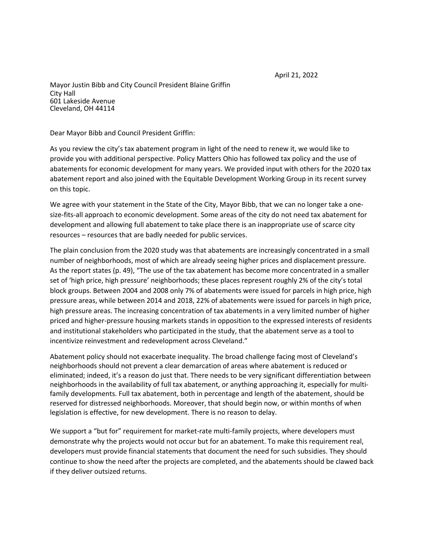April 21, 2022

Mayor Justin Bibb and City Council President Blaine Griffin City Hall 601 Lakeside Avenue Cleveland, OH 44114

Dear Mayor Bibb and Council President Griffin:

As you review the city's tax abatement program in light of the need to renew it, we would like to provide you with additional perspective. Policy Matters Ohio has followed tax policy and the use of abatements for economic development for many years. We provided input with others for the 2020 tax abatement report and also joined with the Equitable Development Working Group in its recent survey on this topic.

We agree with your statement in the State of the City, Mayor Bibb, that we can no longer take a onesize-fits-all approach to economic development. Some areas of the city do not need tax abatement for development and allowing full abatement to take place there is an inappropriate use of scarce city resources – resources that are badly needed for public services.

The plain conclusion from the 2020 study was that abatements are increasingly concentrated in a small number of neighborhoods, most of which are already seeing higher prices and displacement pressure. As the report states (p. 49), "The use of the tax abatement has become more concentrated in a smaller set of 'high price, high pressure' neighborhoods; these places represent roughly 2% of the city's total block groups. Between 2004 and 2008 only 7% of abatements were issued for parcels in high price, high pressure areas, while between 2014 and 2018, 22% of abatements were issued for parcels in high price, high pressure areas. The increasing concentration of tax abatements in a very limited number of higher priced and higher-pressure housing markets stands in opposition to the expressed interests of residents and institutional stakeholders who participated in the study, that the abatement serve as a tool to incentivize reinvestment and redevelopment across Cleveland."

Abatement policy should not exacerbate inequality. The broad challenge facing most of Cleveland's neighborhoods should not prevent a clear demarcation of areas where abatement is reduced or eliminated; indeed, it's a reason do just that. There needs to be very significant differentiation between neighborhoods in the availability of full tax abatement, or anything approaching it, especially for multifamily developments. Full tax abatement, both in percentage and length of the abatement, should be reserved for distressed neighborhoods. Moreover, that should begin now, or within months of when legislation is effective, for new development. There is no reason to delay.

We support a "but for" requirement for market-rate multi-family projects, where developers must demonstrate why the projects would not occur but for an abatement. To make this requirement real, developers must provide financial statements that document the need for such subsidies. They should continue to show the need after the projects are completed, and the abatements should be clawed back if they deliver outsized returns.